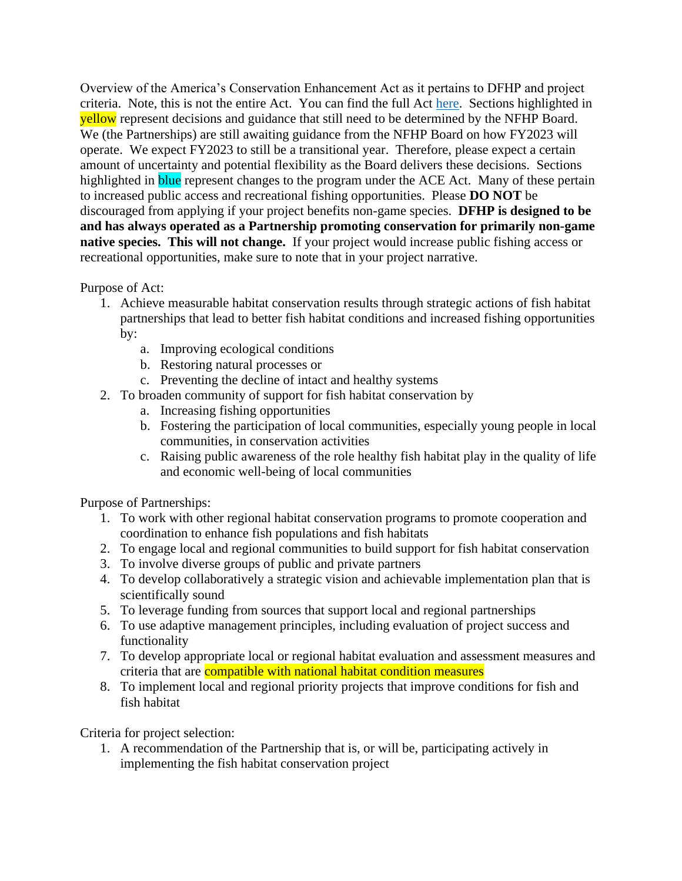Overview of the America's Conservation Enhancement Act as it pertains to DFHP and project criteria. Note, this is not the entire Act. You can find the full Act [here.](https://www.congress.gov/bill/116th-congress/senate-bill/3051/text) Sections highlighted in yellow represent decisions and guidance that still need to be determined by the NFHP Board. We (the Partnerships) are still awaiting guidance from the NFHP Board on how FY2023 will operate. We expect FY2023 to still be a transitional year. Therefore, please expect a certain amount of uncertainty and potential flexibility as the Board delivers these decisions. Sections highlighted in **blue** represent changes to the program under the ACE Act. Many of these pertain to increased public access and recreational fishing opportunities. Please **DO NOT** be discouraged from applying if your project benefits non-game species. **DFHP is designed to be and has always operated as a Partnership promoting conservation for primarily non-game native species. This will not change.** If your project would increase public fishing access or recreational opportunities, make sure to note that in your project narrative.

## Purpose of Act:

- 1. Achieve measurable habitat conservation results through strategic actions of fish habitat partnerships that lead to better fish habitat conditions and increased fishing opportunities by:
	- a. Improving ecological conditions
	- b. Restoring natural processes or
	- c. Preventing the decline of intact and healthy systems
- 2. To broaden community of support for fish habitat conservation by
	- a. Increasing fishing opportunities
	- b. Fostering the participation of local communities, especially young people in local communities, in conservation activities
	- c. Raising public awareness of the role healthy fish habitat play in the quality of life and economic well-being of local communities

Purpose of Partnerships:

- 1. To work with other regional habitat conservation programs to promote cooperation and coordination to enhance fish populations and fish habitats
- 2. To engage local and regional communities to build support for fish habitat conservation
- 3. To involve diverse groups of public and private partners
- 4. To develop collaboratively a strategic vision and achievable implementation plan that is scientifically sound
- 5. To leverage funding from sources that support local and regional partnerships
- 6. To use adaptive management principles, including evaluation of project success and functionality
- 7. To develop appropriate local or regional habitat evaluation and assessment measures and criteria that are compatible with national habitat condition measures
- 8. To implement local and regional priority projects that improve conditions for fish and fish habitat

Criteria for project selection:

1. A recommendation of the Partnership that is, or will be, participating actively in implementing the fish habitat conservation project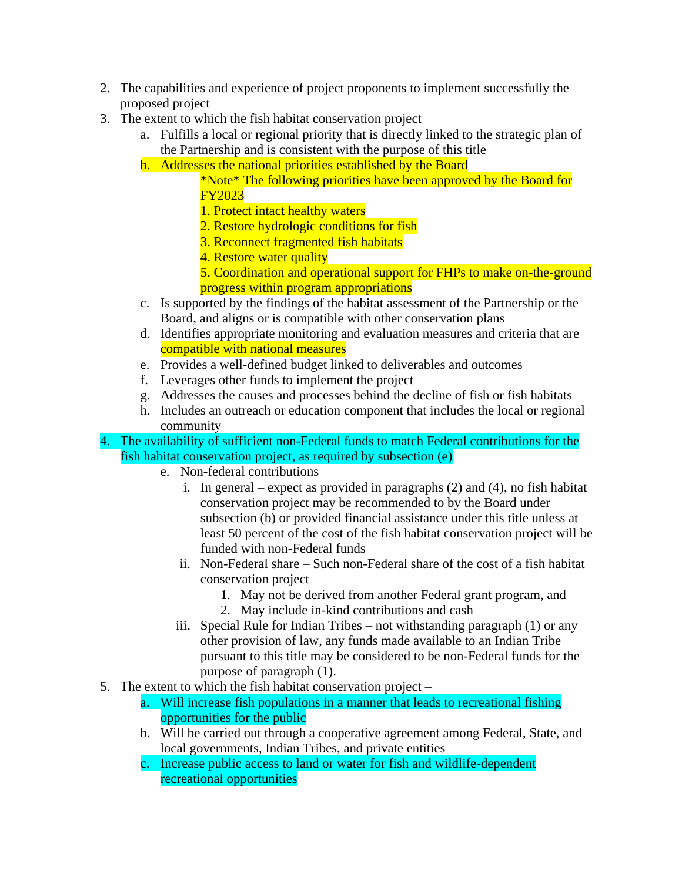- 2. The capabilities and experience of project proponents to implement successfully the proposed project
- 3. The extent to which the fish habitat conservation project
	- a. Fulfills a local or regional priority that is directly linked to the strategic plan of the Partnership and is consistent with the purpose of this title
	- b. Addresses the national priorities established by the Board

\*Note\* The following priorities have been approved by the Board for FY2023

- 1. Protect intact healthy waters
- 2. Restore hydrologic conditions for fish
- 3. Reconnect fragmented fish habitats
- 4. Restore water quality

5. Coordination and operational support for FHPs to make on-the-ground progress within program appropriations

- c. Is supported by the findings of the habitat assessment of the Partnership or the Board, and aligns or is compatible with other conservation plans
- d. Identifies appropriate monitoring and evaluation measures and criteria that are compatible with national measures
- e. Provides a well-defined budget linked to deliverables and outcomes
- f. Leverages other funds to implement the project
- g. Addresses the causes and processes behind the decline of fish or fish habitats
- h. Includes an outreach or education component that includes the local or regional community

4. The availability of sufficient non-Federal funds to match Federal contributions for the fish habitat conservation project, as required by subsection (e)

- e. Non-federal contributions
	- i. In general expect as provided in paragraphs (2) and (4), no fish habitat conservation project may be recommended to by the Board under subsection (b) or provided financial assistance under this title unless at least 50 percent of the cost of the fish habitat conservation project will be funded with non-Federal funds
	- ii. Non-Federal share Such non-Federal share of the cost of a fish habitat conservation project –
		- 1. May not be derived from another Federal grant program, and
		- 2. May include in-kind contributions and cash
	- iii. Special Rule for Indian Tribes not withstanding paragraph (1) or any other provision of law, any funds made available to an Indian Tribe pursuant to this title may be considered to be non-Federal funds for the purpose of paragraph (1).
- 5. The extent to which the fish habitat conservation project
	- a. Will increase fish populations in a manner that leads to recreational fishing opportunities for the public
	- b. Will be carried out through a cooperative agreement among Federal, State, and local governments, Indian Tribes, and private entities
	- c. Increase public access to land or water for fish and wildlife-dependent recreational opportunities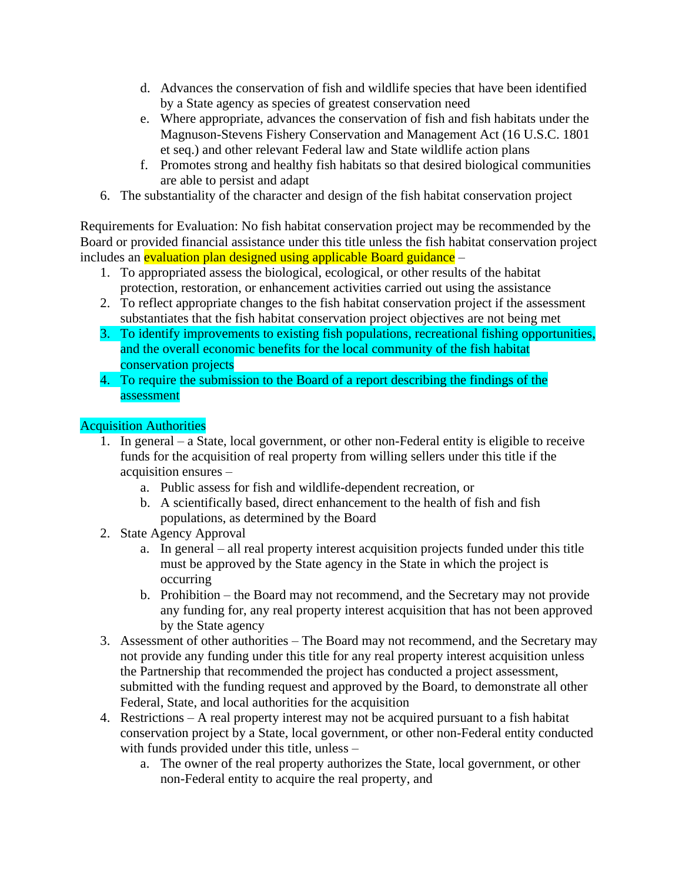- d. Advances the conservation of fish and wildlife species that have been identified by a State agency as species of greatest conservation need
- e. Where appropriate, advances the conservation of fish and fish habitats under the Magnuson-Stevens Fishery Conservation and Management Act (16 U.S.C. 1801 et seq.) and other relevant Federal law and State wildlife action plans
- f. Promotes strong and healthy fish habitats so that desired biological communities are able to persist and adapt
- 6. The substantiality of the character and design of the fish habitat conservation project

Requirements for Evaluation: No fish habitat conservation project may be recommended by the Board or provided financial assistance under this title unless the fish habitat conservation project includes an evaluation plan designed using applicable Board guidance –

- 1. To appropriated assess the biological, ecological, or other results of the habitat protection, restoration, or enhancement activities carried out using the assistance
- 2. To reflect appropriate changes to the fish habitat conservation project if the assessment substantiates that the fish habitat conservation project objectives are not being met
- 3. To identify improvements to existing fish populations, recreational fishing opportunities, and the overall economic benefits for the local community of the fish habitat conservation projects
- 4. To require the submission to the Board of a report describing the findings of the assessment

## Acquisition Authorities

- 1. In general a State, local government, or other non-Federal entity is eligible to receive funds for the acquisition of real property from willing sellers under this title if the acquisition ensures –
	- a. Public assess for fish and wildlife-dependent recreation, or
	- b. A scientifically based, direct enhancement to the health of fish and fish populations, as determined by the Board
- 2. State Agency Approval
	- a. In general all real property interest acquisition projects funded under this title must be approved by the State agency in the State in which the project is occurring
	- b. Prohibition the Board may not recommend, and the Secretary may not provide any funding for, any real property interest acquisition that has not been approved by the State agency
- 3. Assessment of other authorities The Board may not recommend, and the Secretary may not provide any funding under this title for any real property interest acquisition unless the Partnership that recommended the project has conducted a project assessment, submitted with the funding request and approved by the Board, to demonstrate all other Federal, State, and local authorities for the acquisition
- 4. Restrictions A real property interest may not be acquired pursuant to a fish habitat conservation project by a State, local government, or other non-Federal entity conducted with funds provided under this title, unless –
	- a. The owner of the real property authorizes the State, local government, or other non-Federal entity to acquire the real property, and